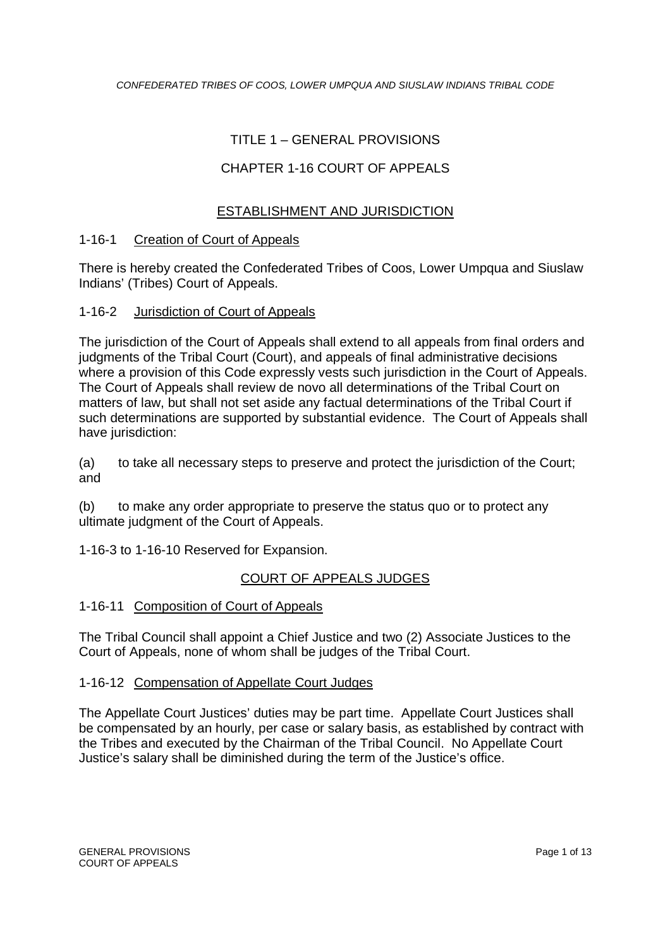# TITLE 1 – GENERAL PROVISIONS

# CHAPTER 1-16 COURT OF APPEALS

# ESTABLISHMENT AND JURISDICTION

#### 1-16-1 Creation of Court of Appeals

There is hereby created the Confederated Tribes of Coos, Lower Umpqua and Siuslaw Indians' (Tribes) Court of Appeals.

#### 1-16-2 Jurisdiction of Court of Appeals

The jurisdiction of the Court of Appeals shall extend to all appeals from final orders and judgments of the Tribal Court (Court), and appeals of final administrative decisions where a provision of this Code expressly vests such jurisdiction in the Court of Appeals. The Court of Appeals shall review de novo all determinations of the Tribal Court on matters of law, but shall not set aside any factual determinations of the Tribal Court if such determinations are supported by substantial evidence. The Court of Appeals shall have jurisdiction:

(a) to take all necessary steps to preserve and protect the jurisdiction of the Court; and

(b) to make any order appropriate to preserve the status quo or to protect any ultimate judgment of the Court of Appeals.

1-16-3 to 1-16-10 Reserved for Expansion.

### COURT OF APPEALS JUDGES

### 1-16-11 Composition of Court of Appeals

The Tribal Council shall appoint a Chief Justice and two (2) Associate Justices to the Court of Appeals, none of whom shall be judges of the Tribal Court.

### 1-16-12 Compensation of Appellate Court Judges

The Appellate Court Justices' duties may be part time. Appellate Court Justices shall be compensated by an hourly, per case or salary basis, as established by contract with the Tribes and executed by the Chairman of the Tribal Council. No Appellate Court Justice's salary shall be diminished during the term of the Justice's office.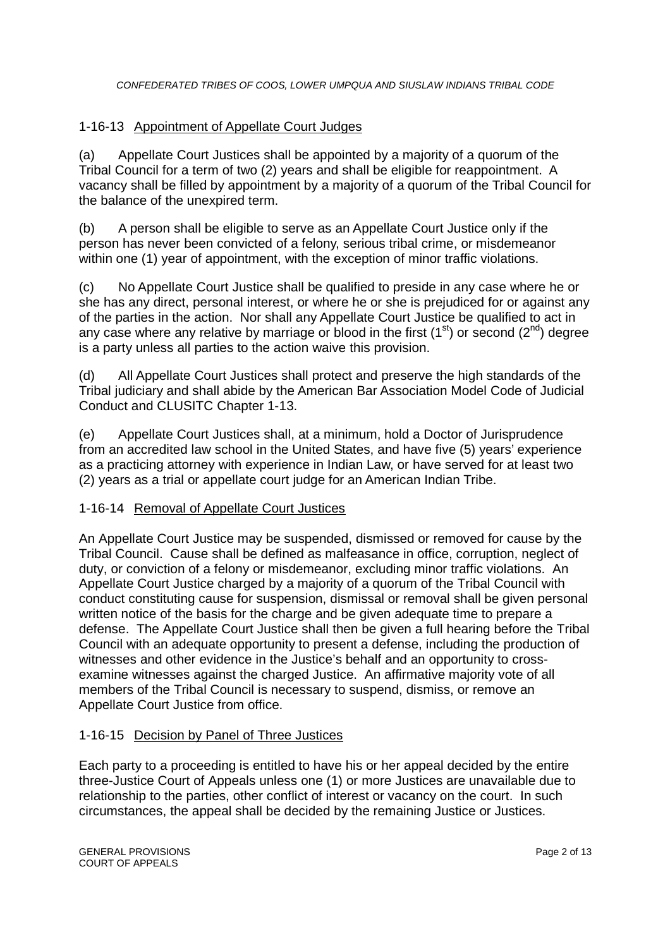# 1-16-13 Appointment of Appellate Court Judges

(a) Appellate Court Justices shall be appointed by a majority of a quorum of the Tribal Council for a term of two (2) years and shall be eligible for reappointment. A vacancy shall be filled by appointment by a majority of a quorum of the Tribal Council for the balance of the unexpired term.

(b) A person shall be eligible to serve as an Appellate Court Justice only if the person has never been convicted of a felony, serious tribal crime, or misdemeanor within one (1) year of appointment, with the exception of minor traffic violations.

(c) No Appellate Court Justice shall be qualified to preside in any case where he or she has any direct, personal interest, or where he or she is prejudiced for or against any of the parties in the action. Nor shall any Appellate Court Justice be qualified to act in any case where any relative by marriage or blood in the first  $(1<sup>st</sup>)$  or second  $(2<sup>nd</sup>)$  degree is a party unless all parties to the action waive this provision.

(d) All Appellate Court Justices shall protect and preserve the high standards of the Tribal judiciary and shall abide by the American Bar Association Model Code of Judicial Conduct and CLUSITC Chapter 1-13.

(e) Appellate Court Justices shall, at a minimum, hold a Doctor of Jurisprudence from an accredited law school in the United States, and have five (5) years' experience as a practicing attorney with experience in Indian Law, or have served for at least two (2) years as a trial or appellate court judge for an American Indian Tribe.

### 1-16-14 Removal of Appellate Court Justices

An Appellate Court Justice may be suspended, dismissed or removed for cause by the Tribal Council. Cause shall be defined as malfeasance in office, corruption, neglect of duty, or conviction of a felony or misdemeanor, excluding minor traffic violations. An Appellate Court Justice charged by a majority of a quorum of the Tribal Council with conduct constituting cause for suspension, dismissal or removal shall be given personal written notice of the basis for the charge and be given adequate time to prepare a defense. The Appellate Court Justice shall then be given a full hearing before the Tribal Council with an adequate opportunity to present a defense, including the production of witnesses and other evidence in the Justice's behalf and an opportunity to crossexamine witnesses against the charged Justice. An affirmative majority vote of all members of the Tribal Council is necessary to suspend, dismiss, or remove an Appellate Court Justice from office.

### 1-16-15 Decision by Panel of Three Justices

Each party to a proceeding is entitled to have his or her appeal decided by the entire three-Justice Court of Appeals unless one (1) or more Justices are unavailable due to relationship to the parties, other conflict of interest or vacancy on the court. In such circumstances, the appeal shall be decided by the remaining Justice or Justices.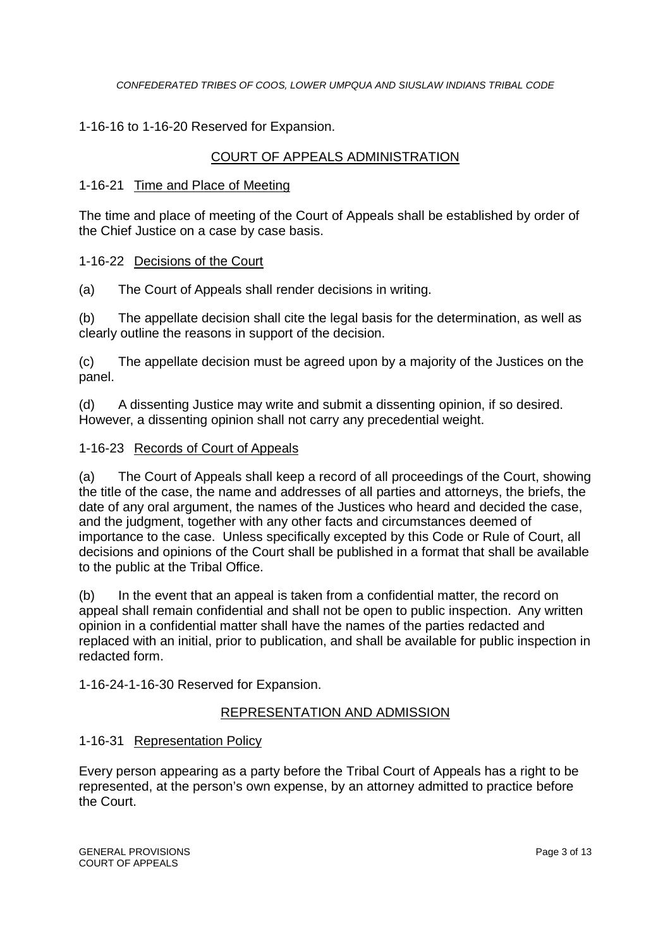# 1-16-16 to 1-16-20 Reserved for Expansion.

# COURT OF APPEALS ADMINISTRATION

#### 1-16-21 Time and Place of Meeting

The time and place of meeting of the Court of Appeals shall be established by order of the Chief Justice on a case by case basis.

#### 1-16-22 Decisions of the Court

(a) The Court of Appeals shall render decisions in writing.

(b) The appellate decision shall cite the legal basis for the determination, as well as clearly outline the reasons in support of the decision.

(c) The appellate decision must be agreed upon by a majority of the Justices on the panel.

(d) A dissenting Justice may write and submit a dissenting opinion, if so desired. However, a dissenting opinion shall not carry any precedential weight.

#### 1-16-23 Records of Court of Appeals

(a) The Court of Appeals shall keep a record of all proceedings of the Court, showing the title of the case, the name and addresses of all parties and attorneys, the briefs, the date of any oral argument, the names of the Justices who heard and decided the case, and the judgment, together with any other facts and circumstances deemed of importance to the case. Unless specifically excepted by this Code or Rule of Court, all decisions and opinions of the Court shall be published in a format that shall be available to the public at the Tribal Office.

(b) In the event that an appeal is taken from a confidential matter, the record on appeal shall remain confidential and shall not be open to public inspection. Any written opinion in a confidential matter shall have the names of the parties redacted and replaced with an initial, prior to publication, and shall be available for public inspection in redacted form.

1-16-24-1-16-30 Reserved for Expansion.

### REPRESENTATION AND ADMISSION

### 1-16-31 Representation Policy

Every person appearing as a party before the Tribal Court of Appeals has a right to be represented, at the person's own expense, by an attorney admitted to practice before the Court.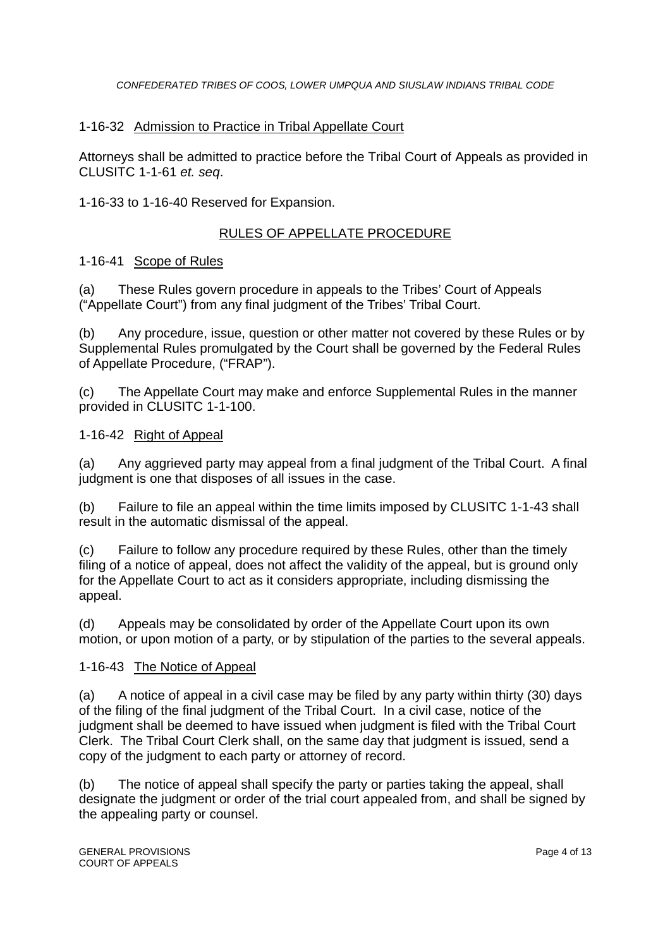# 1-16-32 Admission to Practice in Tribal Appellate Court

Attorneys shall be admitted to practice before the Tribal Court of Appeals as provided in CLUSITC 1-1-61 *et. seq*.

1-16-33 to 1-16-40 Reserved for Expansion.

# RULES OF APPELLATE PROCEDURE

### 1-16-41 Scope of Rules

(a) These Rules govern procedure in appeals to the Tribes' Court of Appeals ("Appellate Court") from any final judgment of the Tribes' Tribal Court.

(b) Any procedure, issue, question or other matter not covered by these Rules or by Supplemental Rules promulgated by the Court shall be governed by the Federal Rules of Appellate Procedure, ("FRAP").

(c) The Appellate Court may make and enforce Supplemental Rules in the manner provided in CLUSITC 1-1-100.

### 1-16-42 Right of Appeal

(a) Any aggrieved party may appeal from a final judgment of the Tribal Court. A final judgment is one that disposes of all issues in the case.

(b) Failure to file an appeal within the time limits imposed by CLUSITC 1-1-43 shall result in the automatic dismissal of the appeal.

(c) Failure to follow any procedure required by these Rules, other than the timely filing of a notice of appeal, does not affect the validity of the appeal, but is ground only for the Appellate Court to act as it considers appropriate, including dismissing the appeal.

(d) Appeals may be consolidated by order of the Appellate Court upon its own motion, or upon motion of a party, or by stipulation of the parties to the several appeals.

### 1-16-43 The Notice of Appeal

(a) A notice of appeal in a civil case may be filed by any party within thirty (30) days of the filing of the final judgment of the Tribal Court. In a civil case, notice of the judgment shall be deemed to have issued when judgment is filed with the Tribal Court Clerk. The Tribal Court Clerk shall, on the same day that judgment is issued, send a copy of the judgment to each party or attorney of record.

(b) The notice of appeal shall specify the party or parties taking the appeal, shall designate the judgment or order of the trial court appealed from, and shall be signed by the appealing party or counsel.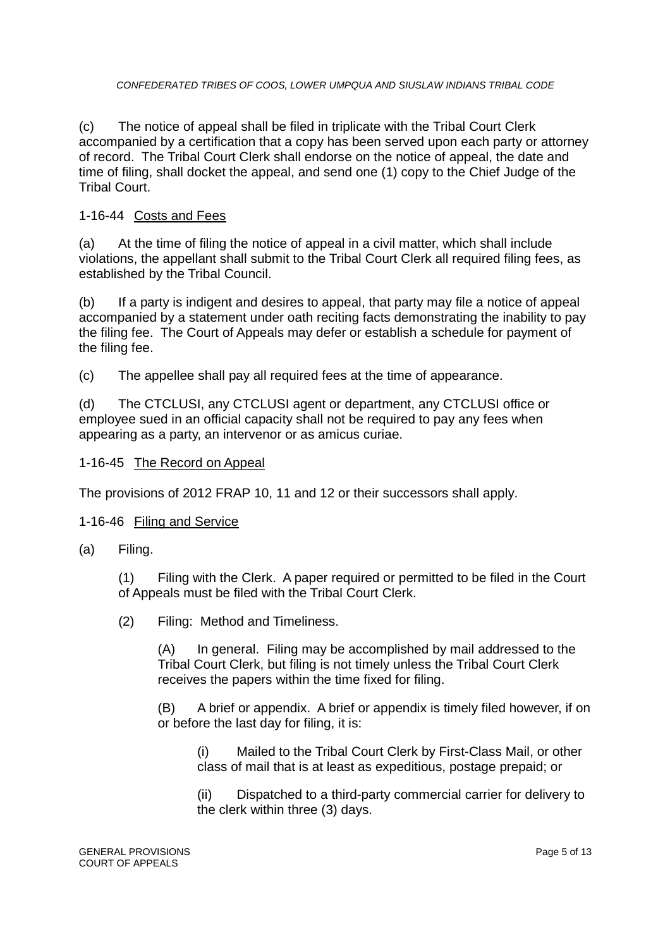(c) The notice of appeal shall be filed in triplicate with the Tribal Court Clerk accompanied by a certification that a copy has been served upon each party or attorney of record. The Tribal Court Clerk shall endorse on the notice of appeal, the date and time of filing, shall docket the appeal, and send one (1) copy to the Chief Judge of the Tribal Court.

### 1-16-44 Costs and Fees

(a) At the time of filing the notice of appeal in a civil matter, which shall include violations, the appellant shall submit to the Tribal Court Clerk all required filing fees, as established by the Tribal Council.

(b) If a party is indigent and desires to appeal, that party may file a notice of appeal accompanied by a statement under oath reciting facts demonstrating the inability to pay the filing fee. The Court of Appeals may defer or establish a schedule for payment of the filing fee.

(c) The appellee shall pay all required fees at the time of appearance.

(d) The CTCLUSI, any CTCLUSI agent or department, any CTCLUSI office or employee sued in an official capacity shall not be required to pay any fees when appearing as a party, an intervenor or as amicus curiae.

#### 1-16-45 The Record on Appeal

The provisions of 2012 FRAP 10, 11 and 12 or their successors shall apply.

#### 1-16-46 Filing and Service

(a) Filing.

(1) Filing with the Clerk. A paper required or permitted to be filed in the Court of Appeals must be filed with the Tribal Court Clerk.

(2) Filing: Method and Timeliness.

(A) In general. Filing may be accomplished by mail addressed to the Tribal Court Clerk, but filing is not timely unless the Tribal Court Clerk receives the papers within the time fixed for filing.

(B) A brief or appendix. A brief or appendix is timely filed however, if on or before the last day for filing, it is:

(i) Mailed to the Tribal Court Clerk by First-Class Mail, or other class of mail that is at least as expeditious, postage prepaid; or

(ii) Dispatched to a third-party commercial carrier for delivery to the clerk within three (3) days.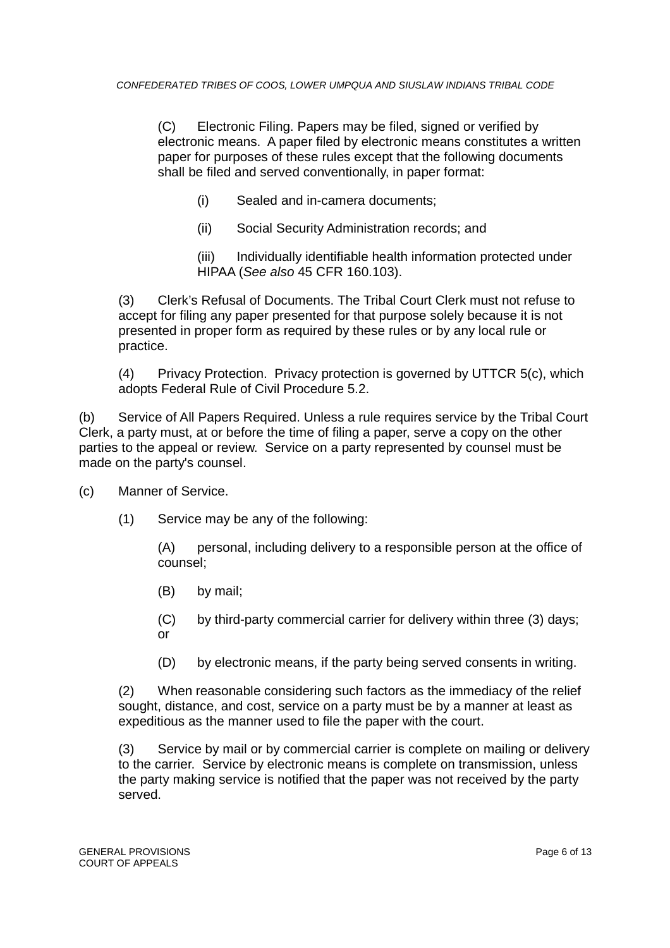(C) Electronic Filing. Papers may be filed, signed or verified by electronic means. A paper filed by electronic means constitutes a written paper for purposes of these rules except that the following documents shall be filed and served conventionally, in paper format:

- (i) Sealed and in-camera documents;
- (ii) Social Security Administration records; and

(iii) Individually identifiable health information protected under HIPAA (*See also* 45 CFR 160.103).

(3) Clerk's Refusal of Documents. The Tribal Court Clerk must not refuse to accept for filing any paper presented for that purpose solely because it is not presented in proper form as required by these rules or by any local rule or practice.

(4) Privacy Protection. Privacy protection is governed by UTTCR 5(c), which adopts Federal Rule of Civil Procedure 5.2.

(b) Service of All Papers Required. Unless a rule requires service by the Tribal Court Clerk, a party must, at or before the time of filing a paper, serve a copy on the other parties to the appeal or review. Service on a party represented by counsel must be made on the party's counsel.

- (c) Manner of Service.
	- (1) Service may be any of the following:

(A) personal, including delivery to a responsible person at the office of counsel;

- (B) by mail;
- (C) by third-party commercial carrier for delivery within three (3) days; or
- (D) by electronic means, if the party being served consents in writing.

(2) When reasonable considering such factors as the immediacy of the relief sought, distance, and cost, service on a party must be by a manner at least as expeditious as the manner used to file the paper with the court.

(3) Service by mail or by commercial carrier is complete on mailing or delivery to the carrier. Service by electronic means is complete on transmission, unless the party making service is notified that the paper was not received by the party served.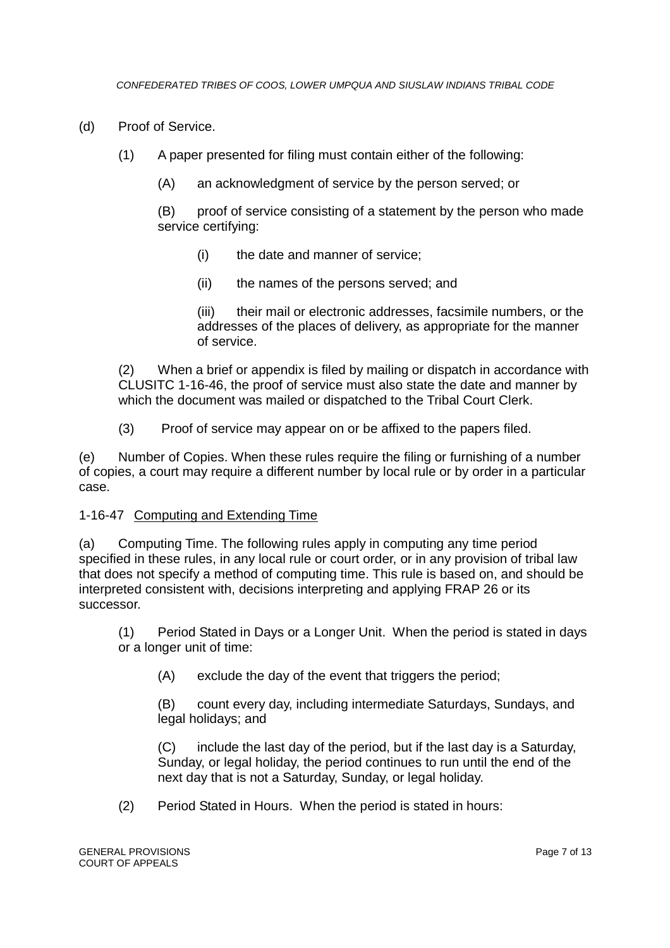- (d) Proof of Service.
	- (1) A paper presented for filing must contain either of the following:
		- (A) an acknowledgment of service by the person served; or

(B) proof of service consisting of a statement by the person who made service certifying:

- (i) the date and manner of service;
- (ii) the names of the persons served; and

(iii) their mail or electronic addresses, facsimile numbers, or the addresses of the places of delivery, as appropriate for the manner of service.

(2) When a brief or appendix is filed by mailing or dispatch in accordance with CLUSITC 1-16-46, the proof of service must also state the date and manner by which the document was mailed or dispatched to the Tribal Court Clerk.

(3) Proof of service may appear on or be affixed to the papers filed.

(e) Number of Copies. When these rules require the filing or furnishing of a number of copies, a court may require a different number by local rule or by order in a particular case.

#### 1-16-47 Computing and Extending Time

(a) Computing Time. The following rules apply in computing any time period specified in these rules, in any local rule or court order, or in any provision of tribal law that does not specify a method of computing time. This rule is based on, and should be interpreted consistent with, decisions interpreting and applying FRAP 26 or its successor.

(1) Period Stated in Days or a Longer Unit. When the period is stated in days or a longer unit of time:

(A) exclude the day of the event that triggers the period;

(B) count every day, including intermediate Saturdays, Sundays, and legal holidays; and

(C) include the last day of the period, but if the last day is a Saturday, Sunday, or legal holiday, the period continues to run until the end of the next day that is not a Saturday, Sunday, or legal holiday.

(2) Period Stated in Hours. When the period is stated in hours: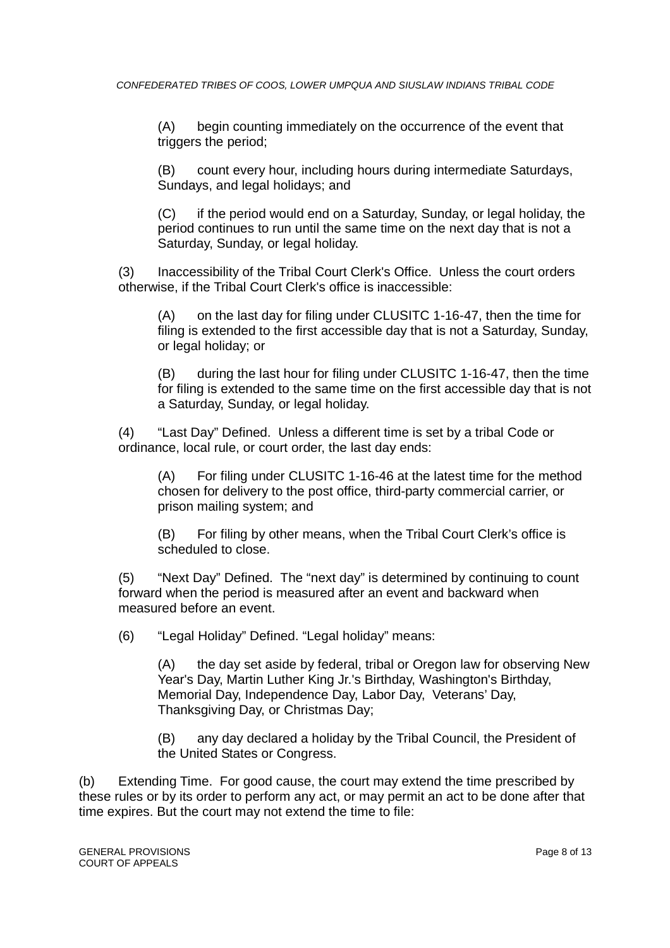(A) begin counting immediately on the occurrence of the event that triggers the period;

(B) count every hour, including hours during intermediate Saturdays, Sundays, and legal holidays; and

(C) if the period would end on a Saturday, Sunday, or legal holiday, the period continues to run until the same time on the next day that is not a Saturday, Sunday, or legal holiday.

(3) Inaccessibility of the Tribal Court Clerk's Office. Unless the court orders otherwise, if the Tribal Court Clerk's office is inaccessible:

(A) on the last day for filing under CLUSITC 1-16-47, then the time for filing is extended to the first accessible day that is not a Saturday, Sunday, or legal holiday; or

(B) during the last hour for filing under CLUSITC 1-16-47, then the time for filing is extended to the same time on the first accessible day that is not a Saturday, Sunday, or legal holiday.

(4) "Last Day" Defined. Unless a different time is set by a tribal Code or ordinance, local rule, or court order, the last day ends:

(A) For filing under CLUSITC 1-16-46 at the latest time for the method chosen for delivery to the post office, third-party commercial carrier, or prison mailing system; and

(B) For filing by other means, when the Tribal Court Clerk's office is scheduled to close.

(5) "Next Day" Defined. The "next day" is determined by continuing to count forward when the period is measured after an event and backward when measured before an event.

(6) "Legal Holiday" Defined. "Legal holiday" means:

(A) the day set aside by federal, tribal or Oregon law for observing New Year's Day, Martin Luther King Jr.'s Birthday, Washington's Birthday, Memorial Day, Independence Day, Labor Day, Veterans' Day, Thanksgiving Day, or Christmas Day;

(B) any day declared a holiday by the Tribal Council, the President of the United States or Congress.

(b) Extending Time. For good cause, the court may extend the time prescribed by these rules or by its order to perform any act, or may permit an act to be done after that time expires. But the court may not extend the time to file: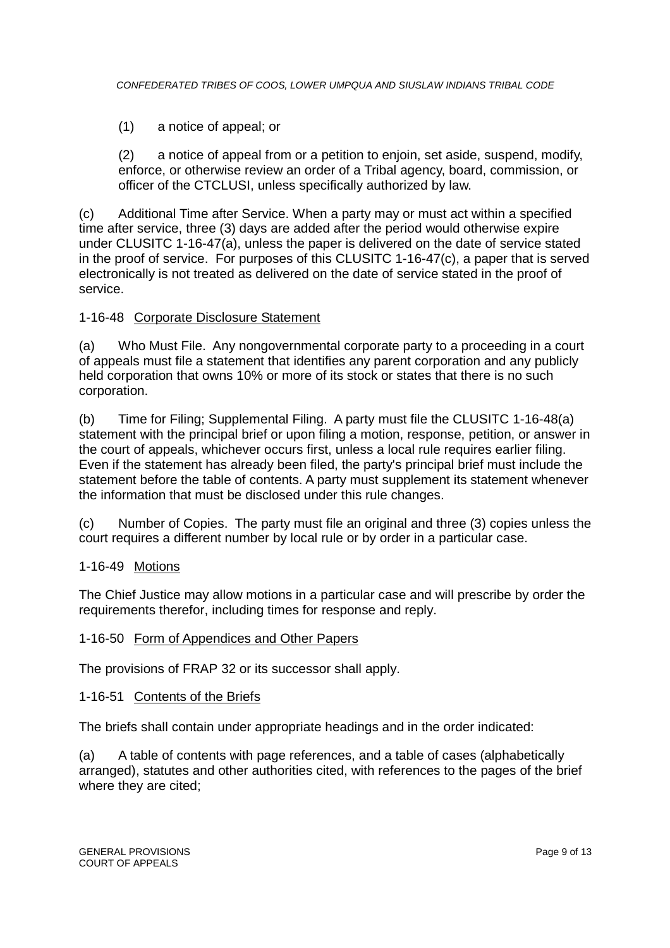(1) a notice of appeal; or

(2) a notice of appeal from or a petition to enjoin, set aside, suspend, modify, enforce, or otherwise review an order of a Tribal agency, board, commission, or officer of the CTCLUSI, unless specifically authorized by law.

(c) Additional Time after Service. When a party may or must act within a specified time after service, three (3) days are added after the period would otherwise expire under CLUSITC 1-16-47(a), unless the paper is delivered on the date of service stated in the proof of service. For purposes of this CLUSITC 1-16-47(c), a paper that is served electronically is not treated as delivered on the date of service stated in the proof of service.

#### 1-16-48 Corporate Disclosure Statement

(a) Who Must File. Any nongovernmental corporate party to a proceeding in a court of appeals must file a statement that identifies any parent corporation and any publicly held corporation that owns 10% or more of its stock or states that there is no such corporation.

(b) Time for Filing; Supplemental Filing. A party must file the CLUSITC 1-16-48(a) statement with the principal brief or upon filing a motion, response, petition, or answer in the court of appeals, whichever occurs first, unless a local rule requires earlier filing. Even if the statement has already been filed, the party's principal brief must include the statement before the table of contents. A party must supplement its statement whenever the information that must be disclosed under this rule changes.

(c) Number of Copies. The party must file an original and three (3) copies unless the court requires a different number by local rule or by order in a particular case.

#### 1-16-49 Motions

The Chief Justice may allow motions in a particular case and will prescribe by order the requirements therefor, including times for response and reply.

#### 1-16-50 Form of Appendices and Other Papers

The provisions of FRAP 32 or its successor shall apply.

#### 1-16-51 Contents of the Briefs

The briefs shall contain under appropriate headings and in the order indicated:

(a) A table of contents with page references, and a table of cases (alphabetically arranged), statutes and other authorities cited, with references to the pages of the brief where they are cited;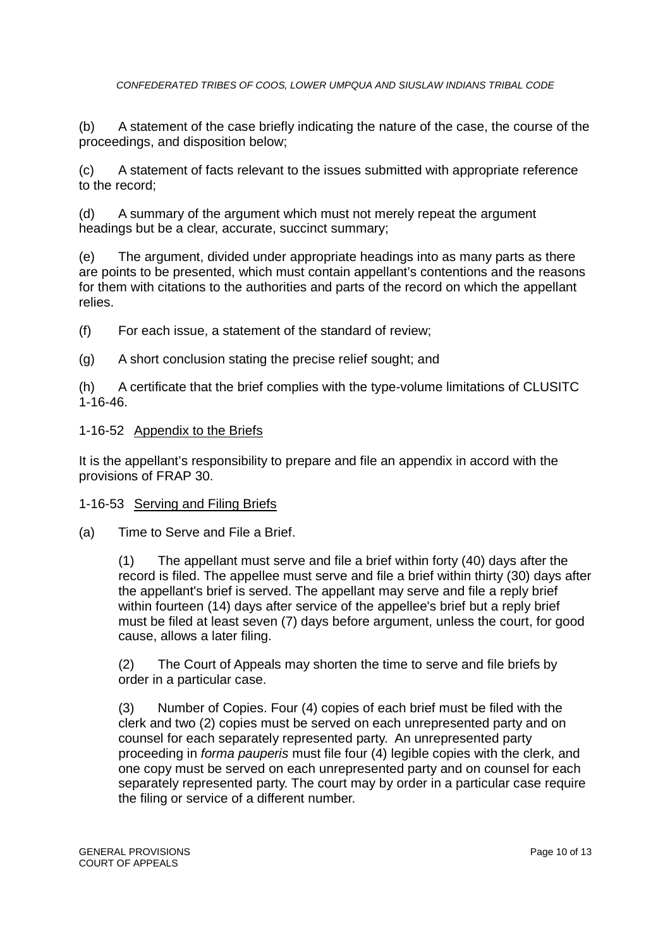(b) A statement of the case briefly indicating the nature of the case, the course of the proceedings, and disposition below;

(c) A statement of facts relevant to the issues submitted with appropriate reference to the record;

(d) A summary of the argument which must not merely repeat the argument headings but be a clear, accurate, succinct summary;

(e) The argument, divided under appropriate headings into as many parts as there are points to be presented, which must contain appellant's contentions and the reasons for them with citations to the authorities and parts of the record on which the appellant relies.

(f) For each issue, a statement of the standard of review;

(g) A short conclusion stating the precise relief sought; and

(h) A certificate that the brief complies with the type-volume limitations of CLUSITC 1-16-46.

### 1-16-52 Appendix to the Briefs

It is the appellant's responsibility to prepare and file an appendix in accord with the provisions of FRAP 30.

### 1-16-53 Serving and Filing Briefs

(a) Time to Serve and File a Brief.

(1) The appellant must serve and file a brief within forty (40) days after the record is filed. The appellee must serve and file a brief within thirty (30) days after the appellant's brief is served. The appellant may serve and file a reply brief within fourteen (14) days after service of the appellee's brief but a reply brief must be filed at least seven (7) days before argument, unless the court, for good cause, allows a later filing.

(2) The Court of Appeals may shorten the time to serve and file briefs by order in a particular case.

(3) Number of Copies. Four (4) copies of each brief must be filed with the clerk and two (2) copies must be served on each unrepresented party and on counsel for each separately represented party. An unrepresented party proceeding in *forma pauperis* must file four (4) legible copies with the clerk, and one copy must be served on each unrepresented party and on counsel for each separately represented party. The court may by order in a particular case require the filing or service of a different number.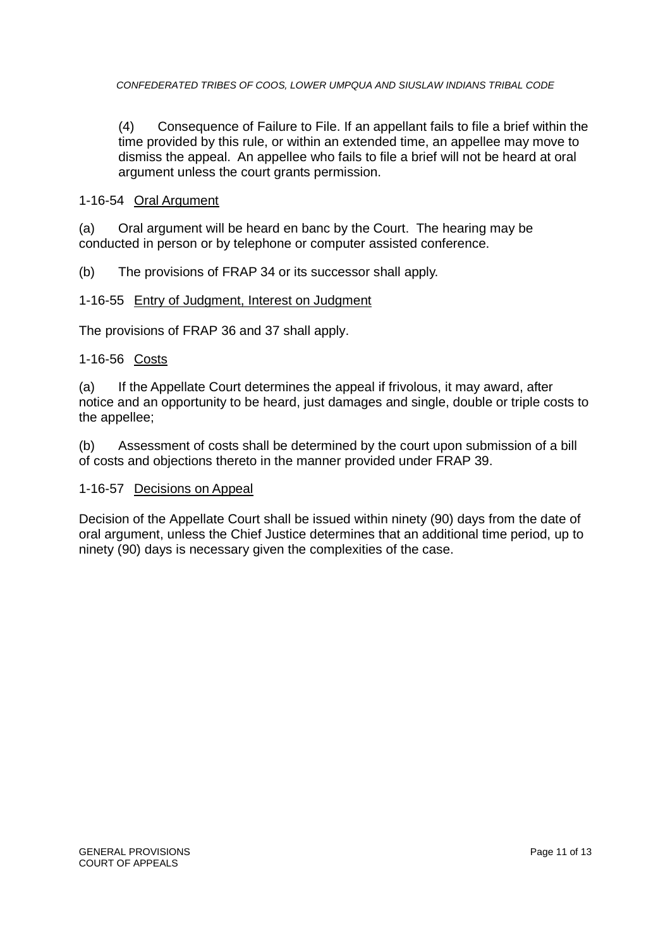(4) Consequence of Failure to File. If an appellant fails to file a brief within the time provided by this rule, or within an extended time, an appellee may move to dismiss the appeal. An appellee who fails to file a brief will not be heard at oral argument unless the court grants permission.

#### 1-16-54 Oral Argument

(a) Oral argument will be heard en banc by the Court. The hearing may be conducted in person or by telephone or computer assisted conference.

(b) The provisions of FRAP 34 or its successor shall apply.

#### 1-16-55 Entry of Judgment, Interest on Judgment

The provisions of FRAP 36 and 37 shall apply.

#### 1-16-56 Costs

(a) If the Appellate Court determines the appeal if frivolous, it may award, after notice and an opportunity to be heard, just damages and single, double or triple costs to the appellee;

(b) Assessment of costs shall be determined by the court upon submission of a bill of costs and objections thereto in the manner provided under FRAP 39.

#### 1-16-57 Decisions on Appeal

Decision of the Appellate Court shall be issued within ninety (90) days from the date of oral argument, unless the Chief Justice determines that an additional time period, up to ninety (90) days is necessary given the complexities of the case.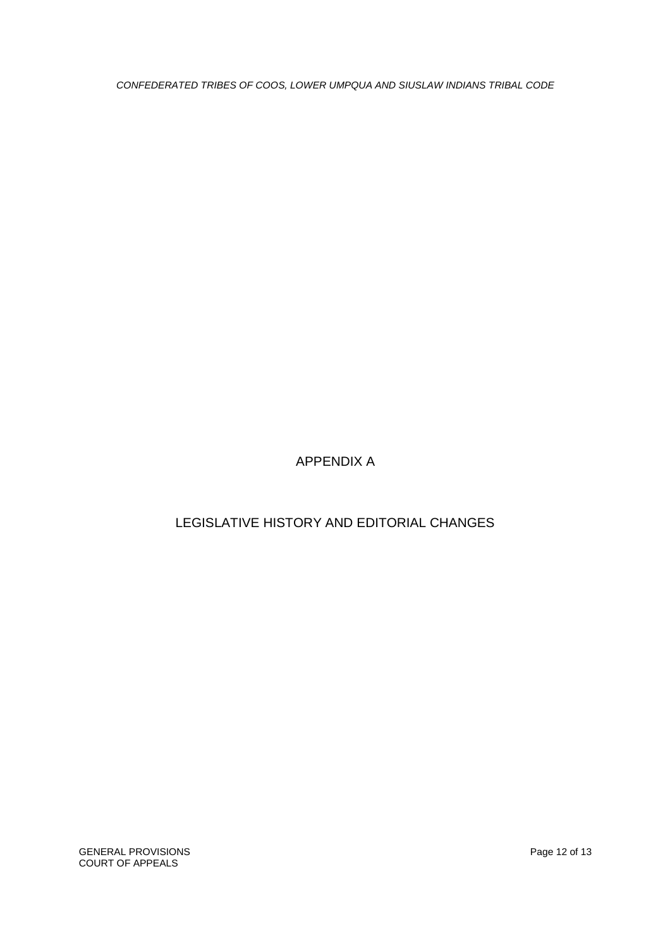GENERAL PROVISIONS **Page 12 of 13** COURT OF APPEALS

# LEGISLATIVE HISTORY AND EDITORIAL CHANGES

# APPENDIX A

*CONFEDERATED TRIBES OF COOS, LOWER UMPQUA AND SIUSLAW INDIANS TRIBAL CODE*